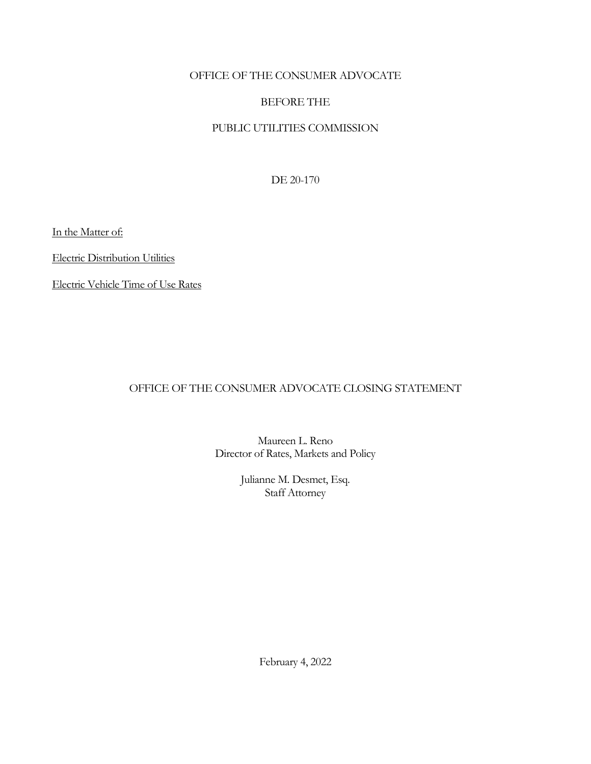## OFFICE OF THE CONSUMER ADVOCATE

# BEFORE THE

# PUBLIC UTILITIES COMMISSION

DE 20-170

In the Matter of:

Electric Distribution Utilities

Electric Vehicle Time of Use Rates

# OFFICE OF THE CONSUMER ADVOCATE CLOSING STATEMENT

Maureen L. Reno Director of Rates, Markets and Policy

> Julianne M. Desmet, Esq. Staff Attorney

> > February 4, 2022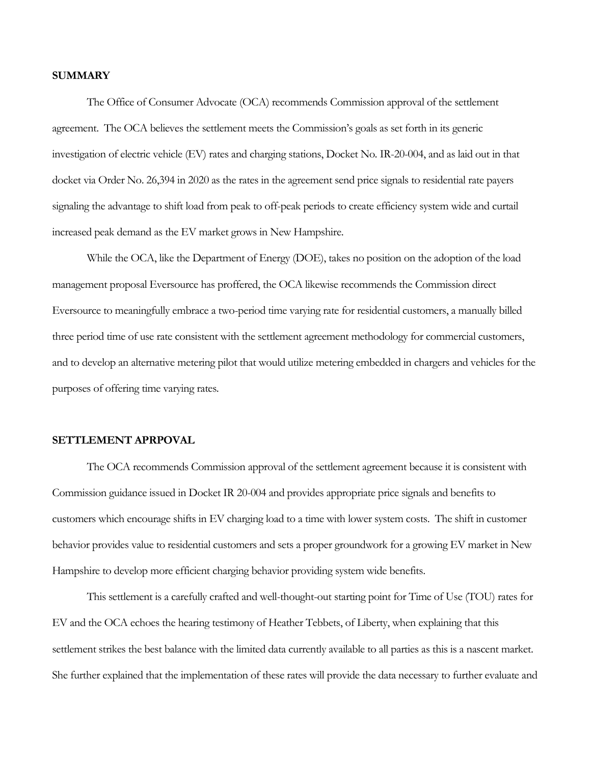#### **SUMMARY**

The Office of Consumer Advocate (OCA) recommends Commission approval of the settlement agreement. The OCA believes the settlement meets the Commission's goals as set forth in its generic investigation of electric vehicle (EV) rates and charging stations, Docket No. IR-20-004, and as laid out in that docket via Order No. 26,394 in 2020 as the rates in the agreement send price signals to residential rate payers signaling the advantage to shift load from peak to off-peak periods to create efficiency system wide and curtail increased peak demand as the EV market grows in New Hampshire.

While the OCA, like the Department of Energy (DOE), takes no position on the adoption of the load management proposal Eversource has proffered, the OCA likewise recommends the Commission direct Eversource to meaningfully embrace a two-period time varying rate for residential customers, a manually billed three period time of use rate consistent with the settlement agreement methodology for commercial customers, and to develop an alternative metering pilot that would utilize metering embedded in chargers and vehicles for the purposes of offering time varying rates.

### **SETTLEMENT APRPOVAL**

The OCA recommends Commission approval of the settlement agreement because it is consistent with Commission guidance issued in Docket IR 20-004 and provides appropriate price signals and benefits to customers which encourage shifts in EV charging load to a time with lower system costs. The shift in customer behavior provides value to residential customers and sets a proper groundwork for a growing EV market in New Hampshire to develop more efficient charging behavior providing system wide benefits.

This settlement is a carefully crafted and well-thought-out starting point for Time of Use (TOU) rates for EV and the OCA echoes the hearing testimony of Heather Tebbets, of Liberty, when explaining that this settlement strikes the best balance with the limited data currently available to all parties as this is a nascent market. She further explained that the implementation of these rates will provide the data necessary to further evaluate and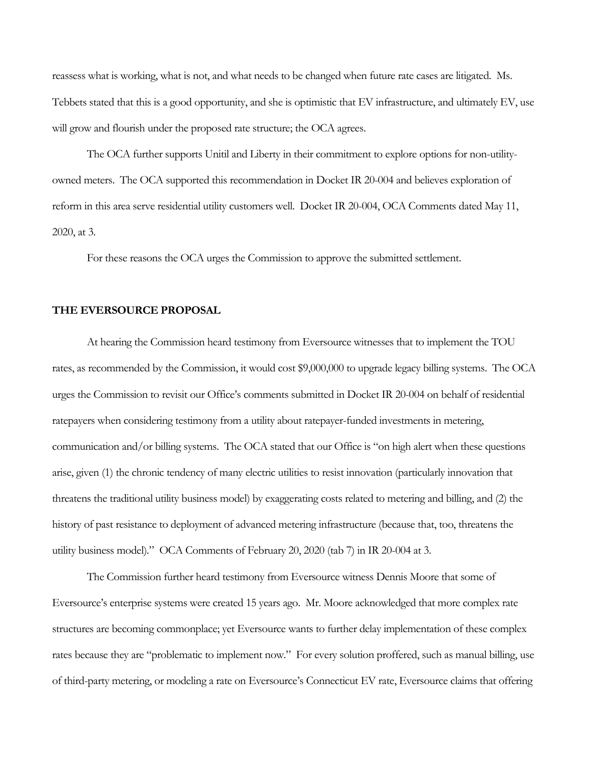reassess what is working, what is not, and what needs to be changed when future rate cases are litigated. Ms. Tebbets stated that this is a good opportunity, and she is optimistic that EV infrastructure, and ultimately EV, use will grow and flourish under the proposed rate structure; the OCA agrees.

The OCA further supports Unitil and Liberty in their commitment to explore options for non-utilityowned meters. The OCA supported this recommendation in Docket IR 20-004 and believes exploration of reform in this area serve residential utility customers well. Docket IR 20-004, OCA Comments dated May 11, 2020, at 3.

For these reasons the OCA urges the Commission to approve the submitted settlement.

### **THE EVERSOURCE PROPOSAL**

At hearing the Commission heard testimony from Eversource witnesses that to implement the TOU rates, as recommended by the Commission, it would cost \$9,000,000 to upgrade legacy billing systems. The OCA urges the Commission to revisit our Office's comments submitted in Docket IR 20-004 on behalf of residential ratepayers when considering testimony from a utility about ratepayer-funded investments in metering, communication and/or billing systems. The OCA stated that our Office is "on high alert when these questions arise, given (1) the chronic tendency of many electric utilities to resist innovation (particularly innovation that threatens the traditional utility business model) by exaggerating costs related to metering and billing, and (2) the history of past resistance to deployment of advanced metering infrastructure (because that, too, threatens the utility business model)." OCA Comments of February 20, 2020 (tab 7) in IR 20-004 at 3.

The Commission further heard testimony from Eversource witness Dennis Moore that some of Eversource's enterprise systems were created 15 years ago. Mr. Moore acknowledged that more complex rate structures are becoming commonplace; yet Eversource wants to further delay implementation of these complex rates because they are "problematic to implement now." For every solution proffered, such as manual billing, use of third-party metering, or modeling a rate on Eversource's Connecticut EV rate, Eversource claims that offering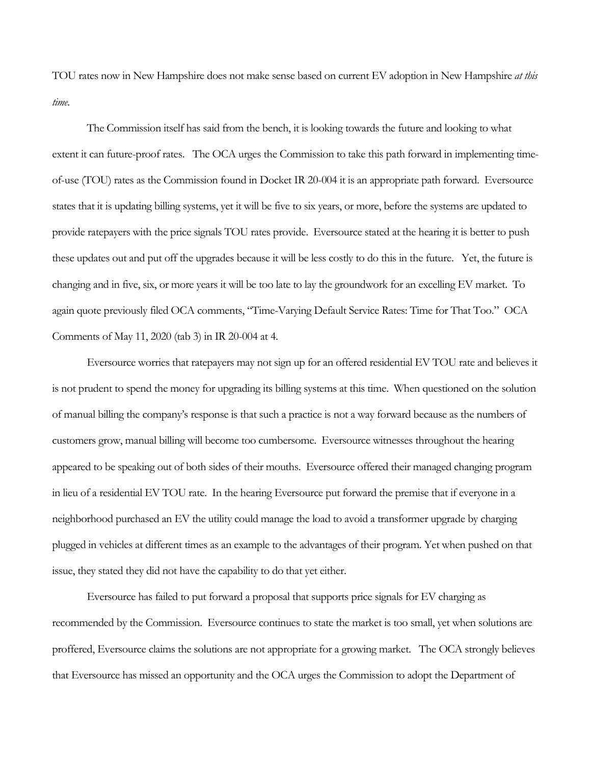TOU rates now in New Hampshire does not make sense based on current EV adoption in New Hampshire *at this time*.

The Commission itself has said from the bench, it is looking towards the future and looking to what extent it can future-proof rates. The OCA urges the Commission to take this path forward in implementing timeof-use (TOU) rates as the Commission found in Docket IR 20-004 it is an appropriate path forward. Eversource states that it is updating billing systems, yet it will be five to six years, or more, before the systems are updated to provide ratepayers with the price signals TOU rates provide. Eversource stated at the hearing it is better to push these updates out and put off the upgrades because it will be less costly to do this in the future. Yet, the future is changing and in five, six, or more years it will be too late to lay the groundwork for an excelling EV market. To again quote previously filed OCA comments, "Time-Varying Default Service Rates: Time for That Too." OCA Comments of May 11, 2020 (tab 3) in IR 20-004 at 4.

Eversource worries that ratepayers may not sign up for an offered residential EV TOU rate and believes it is not prudent to spend the money for upgrading its billing systems at this time. When questioned on the solution of manual billing the company's response is that such a practice is not a way forward because as the numbers of customers grow, manual billing will become too cumbersome. Eversource witnesses throughout the hearing appeared to be speaking out of both sides of their mouths. Eversource offered their managed changing program in lieu of a residential EV TOU rate. In the hearing Eversource put forward the premise that if everyone in a neighborhood purchased an EV the utility could manage the load to avoid a transformer upgrade by charging plugged in vehicles at different times as an example to the advantages of their program. Yet when pushed on that issue, they stated they did not have the capability to do that yet either.

Eversource has failed to put forward a proposal that supports price signals for EV charging as recommended by the Commission. Eversource continues to state the market is too small, yet when solutions are proffered, Eversource claims the solutions are not appropriate for a growing market. The OCA strongly believes that Eversource has missed an opportunity and the OCA urges the Commission to adopt the Department of